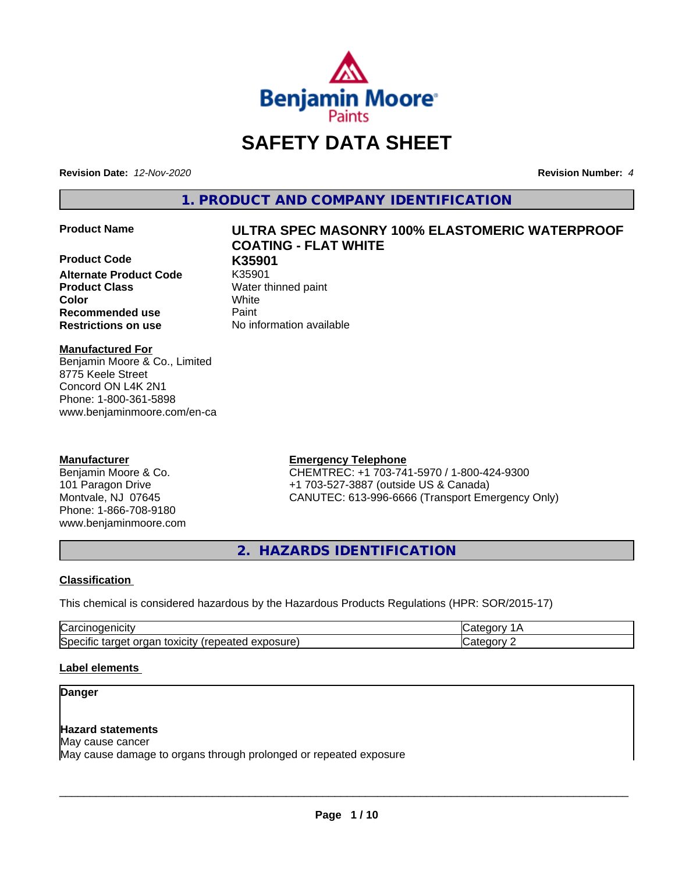

# **SAFETY DATA SHEET**

**Revision Date:** *12-Nov-2020* **Revision Number:** *4*

**1. PRODUCT AND COMPANY IDENTIFICATION**

**Product Code K35901 Alternate Product Code** K35901 **Product Class** Water thinned paint **Color** White **Recommended use Caint Restrictions on use** No information available

# **Product Name ULTRA SPEC MASONRY 100% ELASTOMERIC WATERPROOF COATING - FLAT WHITE**

**Manufactured For**

Benjamin Moore & Co., Limited 8775 Keele Street Concord ON L4K 2N1 Phone: 1-800-361-5898 www.benjaminmoore.com/en-ca

## **Manufacturer**

Benjamin Moore & Co. 101 Paragon Drive Montvale, NJ 07645 Phone: 1-866-708-9180 www.benjaminmoore.com

## **Emergency Telephone**

CHEMTREC: +1 703-741-5970 / 1-800-424-9300 +1 703-527-3887 (outside US & Canada) CANUTEC: 613-996-6666 (Transport Emergency Only)

**2. HAZARDS IDENTIFICATION**

### **Classification**

This chemical is considered hazardous by the Hazardous Products Regulations (HPR: SOR/2015-17)

| r                                                                                                         |        |
|-----------------------------------------------------------------------------------------------------------|--------|
| $\cdot$ .<br>ו⊂ו<br>.<br>$+0.2101$<br>exposure<br>.ar<br>orc<br>ים.<br>يم<br>udl'<br>∵anc<br>स्तास<br>, , | -- - - |

## **Label elements**

## **Danger**

## **Hazard statements**

May cause cancer May cause damage to organs through prolonged or repeated exposure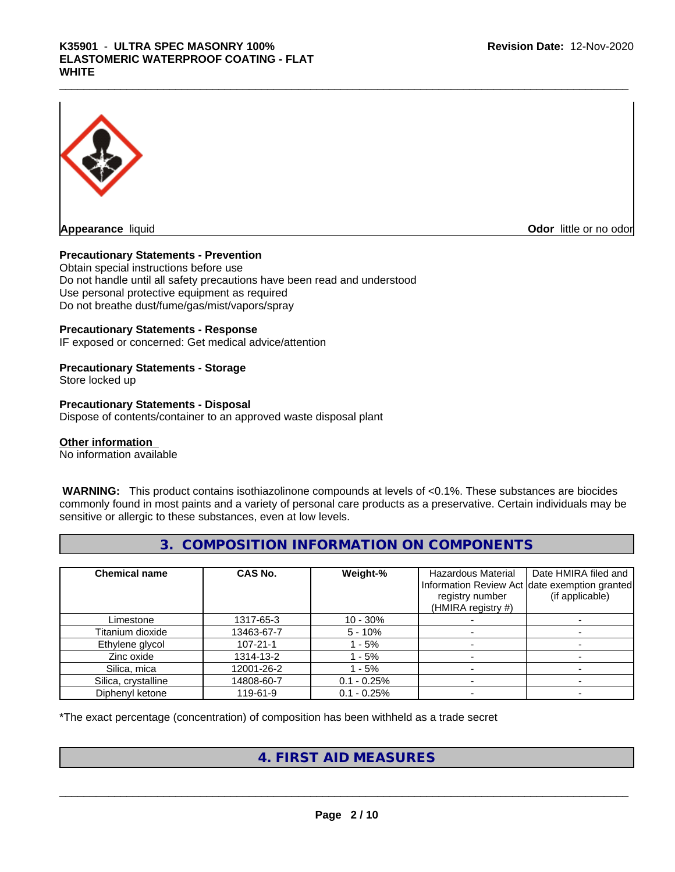## K35901 - ULTRA SPEC MASONRY 100%<br>ELASTOMERIC WATERPROOF COATING - FLAT<br>WHITE **ELASTOMERIC WATERPROOF COATING - FLAT WHITE**



**Appearance** liquid **Odor 11 Construction Odor 11 Construction Odor 11 Construction Odor little or no odor** 

### **Precautionary Statements - Prevention**

Obtain special instructions before use Do not handle until all safety precautions have been read and understood Use personal protective equipment as required Do not breathe dust/fume/gas/mist/vapors/spray

### **Precautionary Statements - Response**

IF exposed or concerned: Get medical advice/attention

## **Precautionary Statements - Storage**

Store locked up

#### **Precautionary Statements - Disposal**

Dispose of contents/container to an approved waste disposal plant

## **Other information**

No information available

 **WARNING:** This product contains isothiazolinone compounds at levels of <0.1%. These substances are biocides commonly found in most paints and a variety of personal care products as a preservative. Certain individuals may be sensitive or allergic to these substances, even at low levels.

## **3. COMPOSITION INFORMATION ON COMPONENTS**

| <b>Chemical name</b> | CAS No.        | Weight-%      | Hazardous Material<br>registry number<br>(HMIRA registry #) | Date HMIRA filed and<br>Information Review Act date exemption granted<br>(if applicable) |
|----------------------|----------------|---------------|-------------------------------------------------------------|------------------------------------------------------------------------------------------|
| Limestone            | 1317-65-3      | $10 - 30%$    |                                                             |                                                                                          |
| Titanium dioxide     | 13463-67-7     | $5 - 10%$     |                                                             |                                                                                          |
| Ethylene glycol      | $107 - 21 - 1$ | - 5%          |                                                             |                                                                                          |
| Zinc oxide           | 1314-13-2      | $-5%$         |                                                             |                                                                                          |
| Silica, mica         | 12001-26-2     | - 5%          |                                                             |                                                                                          |
| Silica, crystalline  | 14808-60-7     | $0.1 - 0.25%$ |                                                             |                                                                                          |
| Diphenyl ketone      | 119-61-9       | $0.1 - 0.25%$ |                                                             |                                                                                          |

\*The exact percentage (concentration) of composition has been withheld as a trade secret

## **4. FIRST AID MEASURES**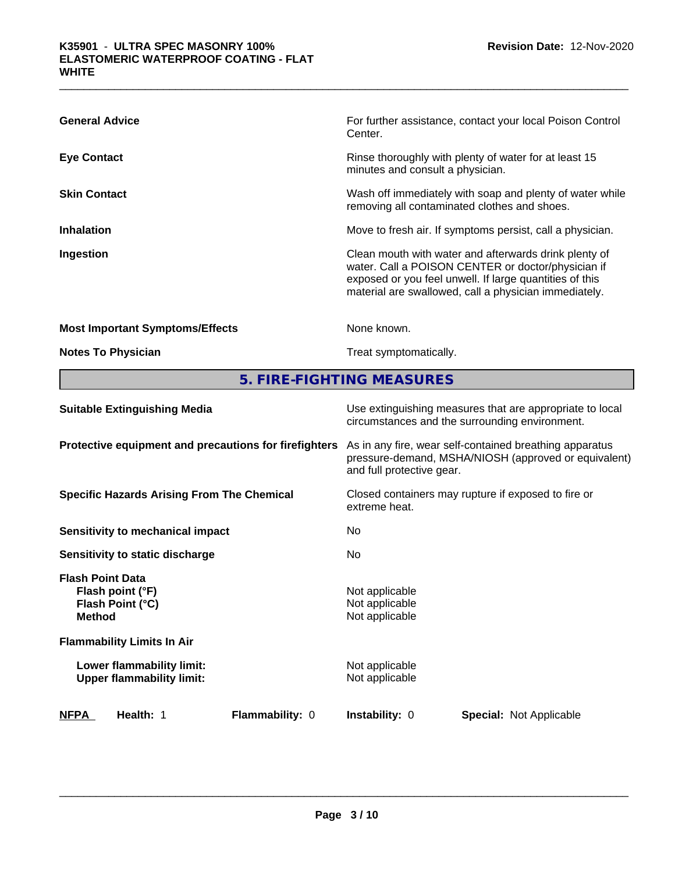| <b>General Advice</b>                  | For further assistance, contact your local Poison Control<br>Center.                                                                                                                                                            |
|----------------------------------------|---------------------------------------------------------------------------------------------------------------------------------------------------------------------------------------------------------------------------------|
| <b>Eye Contact</b>                     | Rinse thoroughly with plenty of water for at least 15<br>minutes and consult a physician.                                                                                                                                       |
| <b>Skin Contact</b>                    | Wash off immediately with soap and plenty of water while<br>removing all contaminated clothes and shoes.                                                                                                                        |
| <b>Inhalation</b>                      | Move to fresh air. If symptoms persist, call a physician.                                                                                                                                                                       |
| Ingestion                              | Clean mouth with water and afterwards drink plenty of<br>water. Call a POISON CENTER or doctor/physician if<br>exposed or you feel unwell. If large quantities of this<br>material are swallowed, call a physician immediately. |
| <b>Most Important Symptoms/Effects</b> | None known.                                                                                                                                                                                                                     |
| <b>Notes To Physician</b>              | Treat symptomatically.                                                                                                                                                                                                          |

**5. FIRE-FIGHTING MEASURES**

| <b>Suitable Extinguishing Media</b>                                              | Use extinguishing measures that are appropriate to local<br>circumstances and the surrounding environment.                                   |  |  |
|----------------------------------------------------------------------------------|----------------------------------------------------------------------------------------------------------------------------------------------|--|--|
| Protective equipment and precautions for firefighters                            | As in any fire, wear self-contained breathing apparatus<br>pressure-demand, MSHA/NIOSH (approved or equivalent)<br>and full protective gear. |  |  |
| <b>Specific Hazards Arising From The Chemical</b>                                | Closed containers may rupture if exposed to fire or<br>extreme heat.                                                                         |  |  |
| Sensitivity to mechanical impact                                                 | No.                                                                                                                                          |  |  |
| Sensitivity to static discharge                                                  | No.                                                                                                                                          |  |  |
| <b>Flash Point Data</b><br>Flash point (°F)<br>Flash Point (°C)<br><b>Method</b> | Not applicable<br>Not applicable<br>Not applicable                                                                                           |  |  |
| <b>Flammability Limits In Air</b>                                                |                                                                                                                                              |  |  |
| Lower flammability limit:<br><b>Upper flammability limit:</b>                    | Not applicable<br>Not applicable                                                                                                             |  |  |
| Flammability: 0<br><b>NFPA</b><br>Health: 1                                      | <b>Instability: 0</b><br><b>Special: Not Applicable</b>                                                                                      |  |  |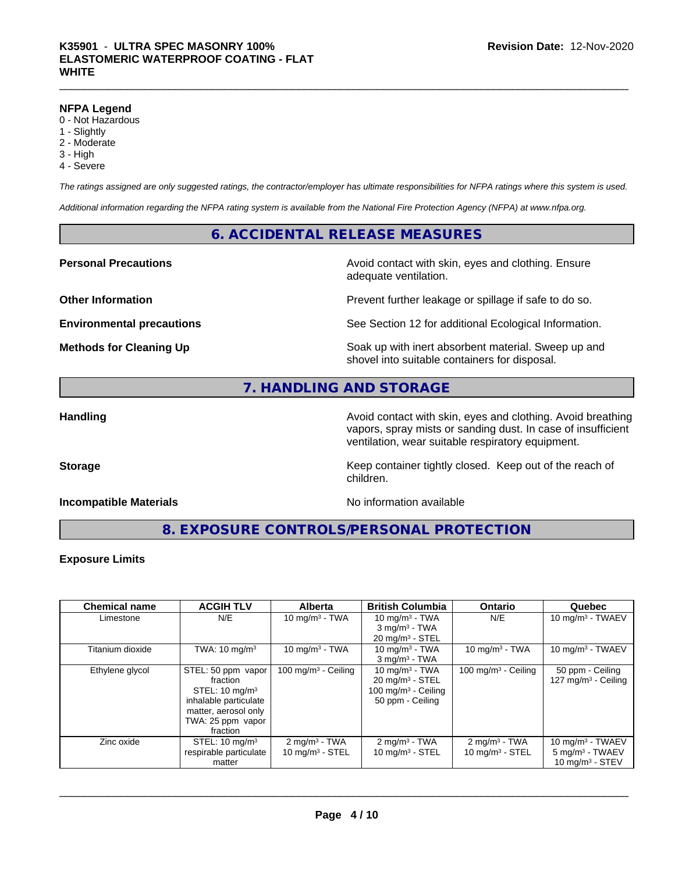### **NFPA Legend**

- 0 Not Hazardous
- 1 Slightly
- 2 Moderate
- 3 High
- 4 Severe

*The ratings assigned are only suggested ratings, the contractor/employer has ultimate responsibilities for NFPA ratings where this system is used.*

*Additional information regarding the NFPA rating system is available from the National Fire Protection Agency (NFPA) at www.nfpa.org.*

## **6. ACCIDENTAL RELEASE MEASURES**

## **Personal Precautions Precautions** Avoid contact with skin, eyes and clothing. Ensure

**Other Information Discription Prevent further leakage or spillage if safe to do so.** 

**Environmental precautions** See Section 12 for additional Ecological Information.

**Methods for Cleaning Up Example 20 Soak** up with inert absorbent material. Sweep up and shovel into suitable containers for disposal.

## **7. HANDLING AND STORAGE**

**Handling Handling Avoid contact with skin, eyes and clothing. Avoid breathing Handling Avoid breathing Avoid breathing** vapors, spray mists or sanding dust. In case of insufficient ventilation, wear suitable respiratory equipment.

**Storage Keep container tightly closed. Keep out of the reach of Keep** container tightly closed. Keep out of the reach of

## **Incompatible Materials No information available**

adequate ventilation.

**8. EXPOSURE CONTROLS/PERSONAL PROTECTION**

children.

## **Exposure Limits**

| <b>Chemical name</b> | <b>ACGIH TLV</b>          | <b>Alberta</b>             | <b>British Columbia</b>         | <b>Ontario</b>          | Quebec                     |
|----------------------|---------------------------|----------------------------|---------------------------------|-------------------------|----------------------------|
| Limestone            | N/E                       | 10 mg/m $3 - TWA$          | 10 mg/m $3$ - TWA               | N/E                     | 10 mg/m $3$ - TWAEV        |
|                      |                           |                            | $3$ mg/m <sup>3</sup> - TWA     |                         |                            |
|                      |                           |                            | $20 \text{ mg/m}^3$ - STEL      |                         |                            |
| Titanium dioxide     | TWA: $10 \text{ mg/m}^3$  | 10 mg/m $3$ - TWA          | 10 mg/m $3$ - TWA               | 10 mg/m $3$ - TWA       | 10 mg/m $3$ - TWAEV        |
|                      |                           |                            | $3$ mg/m $3$ - TWA              |                         |                            |
| Ethylene glycol      | STEL: 50 ppm vapor        | 100 mg/m $3$ - Ceiling     | 10 mg/m $3$ - TWA               | 100 mg/m $3$ - Ceiling  | 50 ppm - Ceiling           |
|                      | fraction                  |                            | $20 \text{ mg/m}^3$ - STEL      |                         | 127 mg/m $3$ - Ceiling     |
|                      | STEL: $10 \text{ mg/m}^3$ |                            | 100 mg/m <sup>3</sup> - Ceiling |                         |                            |
|                      | inhalable particulate     |                            | 50 ppm - Ceiling                |                         |                            |
|                      | matter, aerosol only      |                            |                                 |                         |                            |
|                      | TWA: 25 ppm vapor         |                            |                                 |                         |                            |
|                      | fraction                  |                            |                                 |                         |                            |
| Zinc oxide           | STEL: $10 \text{ mg/m}^3$ | $2 \text{mq/m}^3$ - TWA    | $2$ mg/m <sup>3</sup> - TWA     | $2 \text{mq/m}^3$ - TWA | 10 mg/m $3$ - TWAEV        |
|                      | respirable particulate    | $10 \text{ mg/m}^3$ - STEL | $10 \text{ mg/m}^3$ - STEL      | 10 mg/m $3 -$ STEL      | $5 \text{ mg/m}^3$ - TWAEV |
|                      | matter                    |                            |                                 |                         | 10 $mq/m^3$ - STEV         |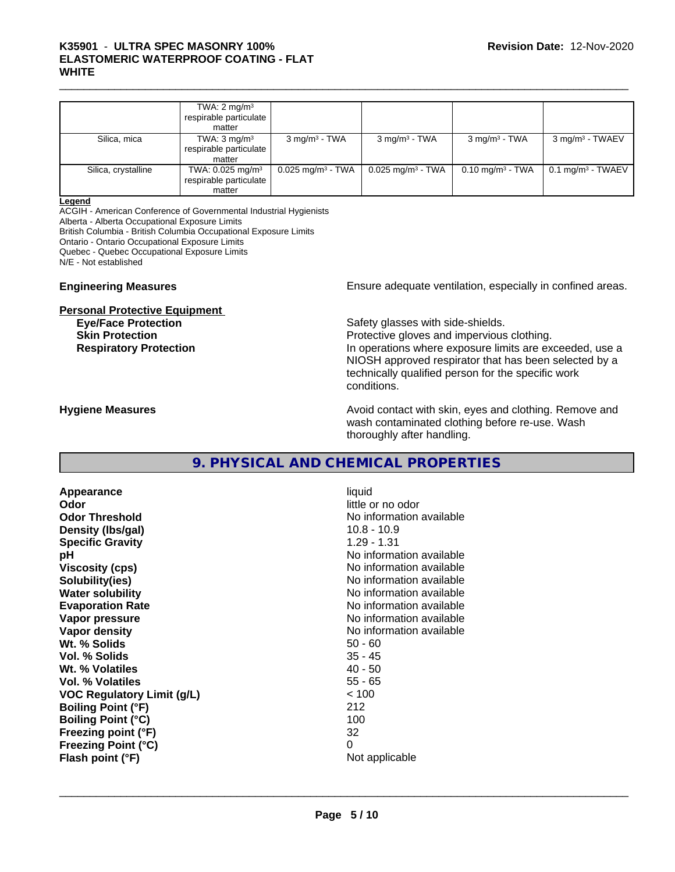## K35901 - ULTRA SPEC MASONRY 100%<br>ELASTOMERIC WATERPROOF COATING - FLAT<br>WHITE **ELASTOMERIC WATERPROOF COATING - FLAT WHITE**

|                     | TWA: $2 \text{ mg/m}^3$<br>respirable particulate I<br>matter    |                                 |                                 |                             |                                 |
|---------------------|------------------------------------------------------------------|---------------------------------|---------------------------------|-----------------------------|---------------------------------|
| Silica, mica        | TWA: $3 \text{ mg/m}^3$<br>respirable particulate<br>matter      | $3 \text{ mg/m}^3$ - TWA        | $3 \text{ mg/m}^3$ - TWA        | $3 \text{ mg/m}^3$ - TWA    | $3$ mg/m <sup>3</sup> - TWAEV   |
| Silica, crystalline | TWA: 0.025 mg/m <sup>3</sup><br>respirable particulate<br>matter | $0.025$ mg/m <sup>3</sup> - TWA | $0.025$ mg/m <sup>3</sup> - TWA | $0.10 \text{ mg/m}^3$ - TWA | $0.1$ mg/m <sup>3</sup> - TWAEV |

#### **Legend**

ACGIH - American Conference of Governmental Industrial Hygienists

Alberta - Alberta Occupational Exposure Limits

British Columbia - British Columbia Occupational Exposure Limits

Ontario - Ontario Occupational Exposure Limits

Quebec - Quebec Occupational Exposure Limits

N/E - Not established

#### **Personal Protective Equipment**

**Engineering Measures Ensure** Ensure adequate ventilation, especially in confined areas.

**Eye/Face Protection Safety glasses with side-shields. Skin Protection Protection Protective gloves and impervious clothing. Respiratory Protection In operations where exposure limits are exceeded, use a** local protection NIOSH approved respirator that has been selected by a technically qualified person for the specific work conditions.

**Hygiene Measures Avoid contact with skin, eyes and clothing. Remove and Avoid contact with skin, eyes and clothing. Remove and Avoid contact with skin, eyes and clothing. Remove and** wash contaminated clothing before re-use. Wash thoroughly after handling.

## **9. PHYSICAL AND CHEMICAL PROPERTIES**

**Appearance** liquid **Odor** little or no odor **Odor Threshold No information available No information available Density (lbs/gal)** 10.8 - 10.9 **Specific Gravity** 1.29 - 1.31 **pH pH**  $\blacksquare$ **Viscosity (cps)** No information available **Solubility(ies)** No information available **Water solubility** No information available **Evaporation Rate Evaporation Rate No information available Vapor pressure** No information available **Vapor density No information available No** information available **Wt. % Solids** 50 - 60 **Vol. % Solids Wt.** % Volatiles 40 - 50 **Vol. % Volatiles** 55 - 65 **VOC Regulatory Limit (g/L)** < 100 **Boiling Point (°F)** 212 **Boiling Point (°C)** 100 **Freezing point (°F)** 32 **Freezing Point (°C)** 0 **Flash point (°F)** Not applicable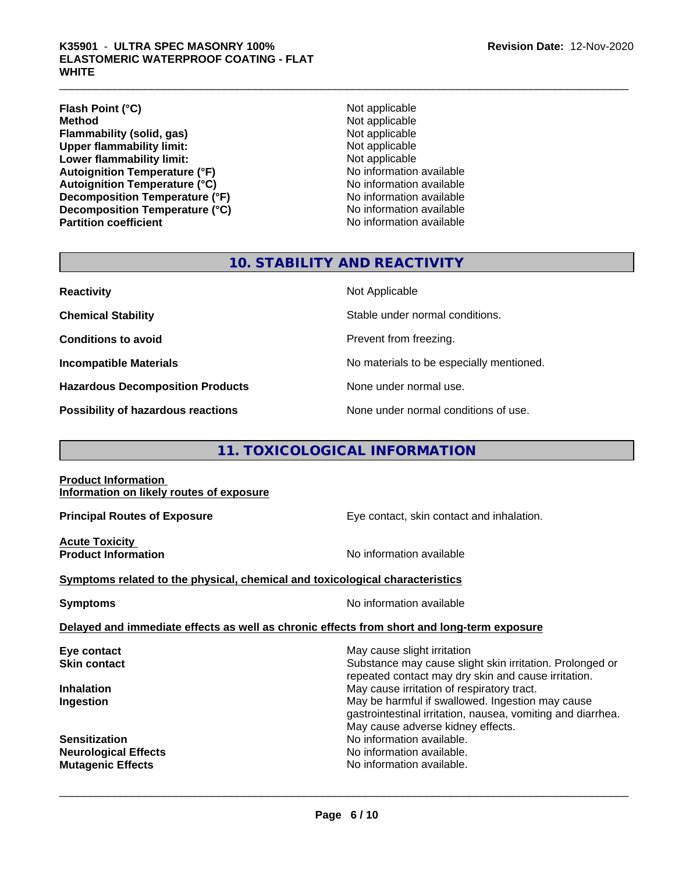## K35901 - ULTRA SPEC MASONRY 100%<br>ELASTOMERIC WATERPROOF COATING - FLAT<br>WHITE **ELASTOMERIC WATERPROOF COATING - FLAT WHITE**

**Flash Point (°C)** Not applicable **Method** Not applicable **Flammability (solid, gas)**<br> **Upper flammability limit:**<br>
Upper flammability limit:<br>  $\begin{array}{ccc}\n\bullet & \bullet & \bullet \\
\bullet & \bullet & \bullet\n\end{array}$ **Upper flammability limit: Lower flammability limit:** Not applicable **Autoignition Temperature (°F)**<br> **Autoignition Temperature (°C)** No information available **Autoignition Temperature (°C) Decomposition Temperature (°F)** No information available **Decomposition Temperature (°C)**<br> **Partition coefficient**<br> **Partition coefficient**<br> **No** information available

**No information available** 

## **10. STABILITY AND REACTIVITY**

**Hazardous Decomposition Products** None under normal use.

**Reactivity** Not Applicable

**Chemical Stability Stable under normal conditions.** 

**Conditions to avoid Prevent from freezing.** 

**Incompatible Materials No materials** No materials to be especially mentioned.

**Possibility of hazardous reactions** None under normal conditions of use.

## **11. TOXICOLOGICAL INFORMATION**

**Product Information Information on likely routes of exposure**

**Principal Routes of Exposure Exposure** Eye contact, skin contact and inhalation.

**Acute Toxicity Product Information Information No information available** 

**Symptoms related to the physical,chemical and toxicological characteristics**

**Symptoms** No information available

 $\overline{\phantom{a}}$  ,  $\overline{\phantom{a}}$  ,  $\overline{\phantom{a}}$  ,  $\overline{\phantom{a}}$  ,  $\overline{\phantom{a}}$  ,  $\overline{\phantom{a}}$  ,  $\overline{\phantom{a}}$  ,  $\overline{\phantom{a}}$  ,  $\overline{\phantom{a}}$  ,  $\overline{\phantom{a}}$  ,  $\overline{\phantom{a}}$  ,  $\overline{\phantom{a}}$  ,  $\overline{\phantom{a}}$  ,  $\overline{\phantom{a}}$  ,  $\overline{\phantom{a}}$  ,  $\overline{\phantom{a}}$ 

### **Delayed and immediate effects as well as chronic effects from short and long-term exposure**

| Eye contact                 | May cause slight irritation                                 |
|-----------------------------|-------------------------------------------------------------|
| <b>Skin contact</b>         | Substance may cause slight skin irritation. Prolonged or    |
|                             | repeated contact may dry skin and cause irritation.         |
| <b>Inhalation</b>           | May cause irritation of respiratory tract.                  |
| Ingestion                   | May be harmful if swallowed. Ingestion may cause            |
|                             | gastrointestinal irritation, nausea, vomiting and diarrhea. |
|                             | May cause adverse kidney effects.                           |
| <b>Sensitization</b>        | No information available.                                   |
| <b>Neurological Effects</b> | No information available.                                   |
| <b>Mutagenic Effects</b>    | No information available.                                   |
|                             |                                                             |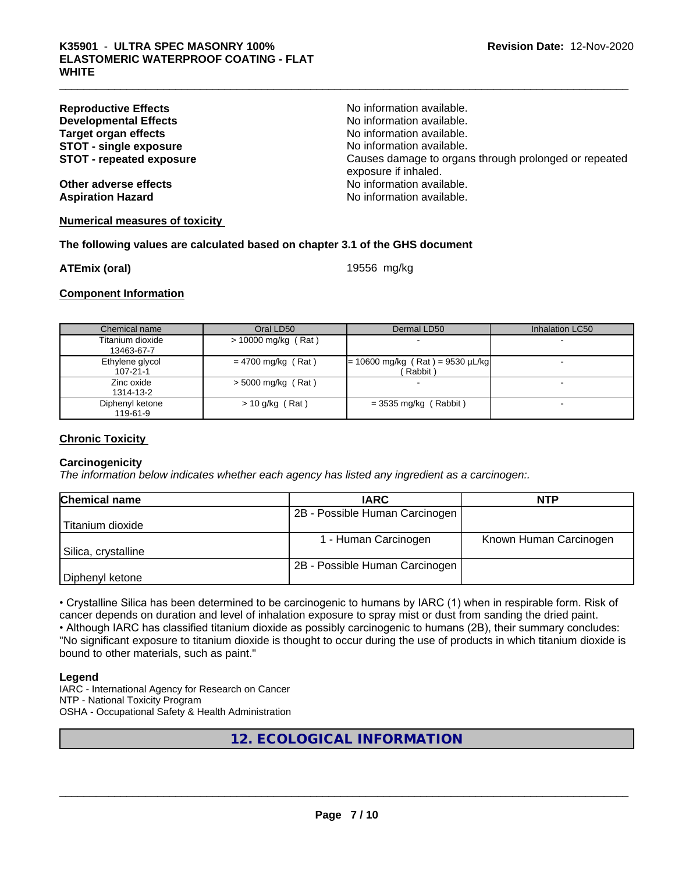| <b>Reproductive Effects</b>     | No information available.                                                     |
|---------------------------------|-------------------------------------------------------------------------------|
| <b>Developmental Effects</b>    | No information available.                                                     |
| <b>Target organ effects</b>     | No information available.                                                     |
| <b>STOT - single exposure</b>   | No information available.                                                     |
| <b>STOT - repeated exposure</b> | Causes damage to organs through prolonged or repeated<br>exposure if inhaled. |
| Other adverse effects           | No information available.                                                     |
| <b>Aspiration Hazard</b>        | No information available.                                                     |

**Numerical measures of toxicity**

#### **The following values are calculated based on chapter 3.1 of the GHS document**

**ATEmix (oral)** 19556 mg/kg

**Component Information**

| Chemical name                     | Oral LD50             | Dermal LD50                                   | Inhalation LC50 |
|-----------------------------------|-----------------------|-----------------------------------------------|-----------------|
| Titanium dioxide<br>13463-67-7    | $> 10000$ mg/kg (Rat) |                                               |                 |
| Ethylene glycol<br>$107 - 21 - 1$ | $= 4700$ mg/kg (Rat)  | $= 10600$ mg/kg (Rat) = 9530 µL/kg<br>Rabbit) |                 |
| Zinc oxide<br>1314-13-2           | $>$ 5000 mg/kg (Rat)  |                                               |                 |
| Diphenyl ketone<br>119-61-9       | $> 10$ g/kg (Rat)     | $=$ 3535 mg/kg (Rabbit)                       |                 |

#### **Chronic Toxicity**

#### **Carcinogenicity**

*The information below indicateswhether each agency has listed any ingredient as a carcinogen:.*

| <b>Chemical name</b> | <b>IARC</b>                    | <b>NTP</b>             |
|----------------------|--------------------------------|------------------------|
|                      | 2B - Possible Human Carcinogen |                        |
| Titanium dioxide     |                                |                        |
|                      | - Human Carcinogen             | Known Human Carcinogen |
| Silica, crystalline  |                                |                        |
|                      | 2B - Possible Human Carcinogen |                        |
| Diphenyl ketone      |                                |                        |

• Crystalline Silica has been determined to be carcinogenic to humans by IARC (1) when in respirable form. Risk of cancer depends on duration and level of inhalation exposure to spray mist or dust from sanding the dried paint.• Although IARC has classified titanium dioxide as possibly carcinogenic to humans (2B), their summary concludes: "No significant exposure to titanium dioxide is thought to occur during the use of products in which titanium dioxide is bound to other materials, such as paint."

#### **Legend**

IARC - International Agency for Research on Cancer NTP - National Toxicity Program OSHA - Occupational Safety & Health Administration

## **12. ECOLOGICAL INFORMATION**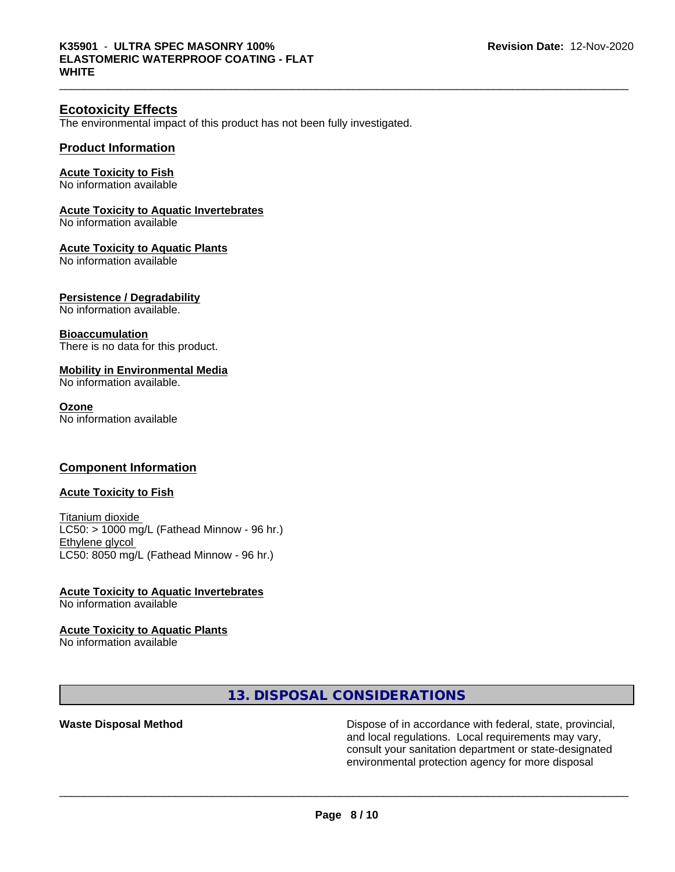## **Ecotoxicity Effects**

The environmental impact of this product has not been fully investigated.

#### **Product Information**

#### **Acute Toxicity to Fish**

No information available

## **Acute Toxicity to Aquatic Invertebrates**

No information available

#### **Acute Toxicity to Aquatic Plants**

No information available

#### **Persistence / Degradability**

No information available.

#### **Bioaccumulation**

There is no data for this product.

#### **Mobility in Environmental Media**

No information available.

#### **Ozone**

No information available

#### **Component Information**

#### **Acute Toxicity to Fish**

Titanium dioxide  $LC50:$  > 1000 mg/L (Fathead Minnow - 96 hr.) Ethylene glycol LC50: 8050 mg/L (Fathead Minnow - 96 hr.)

## **Acute Toxicity to Aquatic Invertebrates**

No information available

#### **Acute Toxicity to Aquatic Plants** No information available

## **13. DISPOSAL CONSIDERATIONS**

**Waste Disposal Method Dispose of in accordance with federal, state, provincial,** and local regulations. Local requirements may vary, consult your sanitation department or state-designated environmental protection agency for more disposal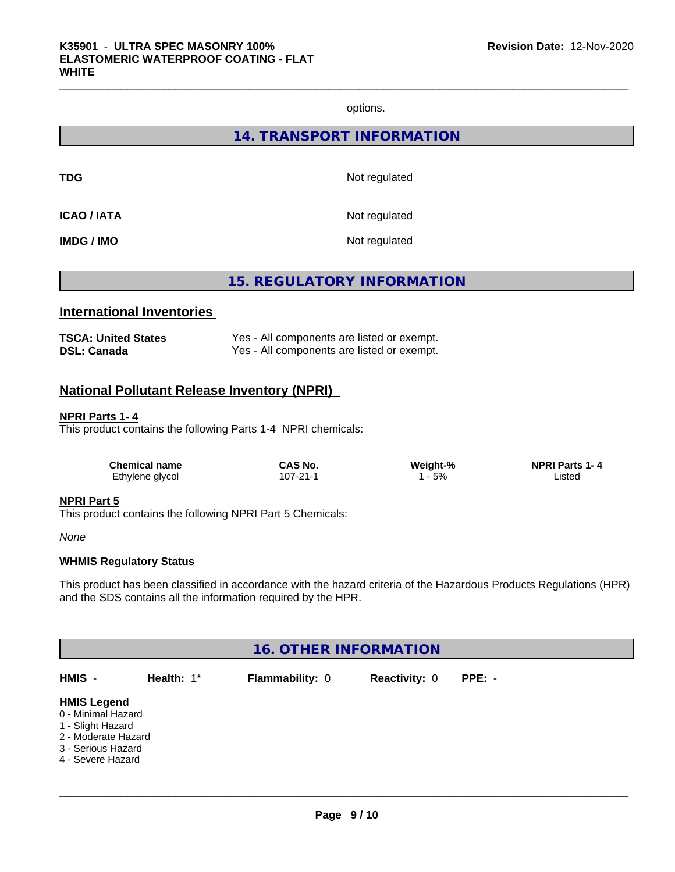options.

**14. TRANSPORT INFORMATION**

**TDG** Not regulated

**ICAO / IATA** Not regulated

**IMDG / IMO** Not regulated

**15. REGULATORY INFORMATION**

## **International Inventories**

| <b>TSCA: United States</b> | Yes - All components are listed or exempt. |
|----------------------------|--------------------------------------------|
| <b>DSL: Canada</b>         | Yes - All components are listed or exempt. |

## **National Pollutant Release Inventory (NPRI)**

#### **NPRI Parts 1- 4**

This product contains the following Parts 1-4 NPRI chemicals:

| <b>Chemical name</b> | <b>CAS No.</b> | Weight-% | <b>NPRI Parts 1-4</b> |  |
|----------------------|----------------|----------|-----------------------|--|
| Ethylene glycol      | 107-21-1       | 5%       | _isted                |  |

#### **NPRI Part 5**

This product contains the following NPRI Part 5 Chemicals:

*None*

### **WHMIS Regulatory Status**

This product has been classified in accordance with the hazard criteria of the Hazardous Products Regulations (HPR) and the SDS contains all the information required by the HPR.

| <b>16. OTHER INFORMATION</b>                                                                                                    |            |                 |                      |          |  |  |  |
|---------------------------------------------------------------------------------------------------------------------------------|------------|-----------------|----------------------|----------|--|--|--|
| HMIS -                                                                                                                          | Health: 1* | Flammability: 0 | <b>Reactivity: 0</b> | $PPE: -$ |  |  |  |
| <b>HMIS Legend</b><br>0 - Minimal Hazard<br>1 - Slight Hazard<br>2 - Moderate Hazard<br>3 - Serious Hazard<br>4 - Severe Hazard |            |                 |                      |          |  |  |  |